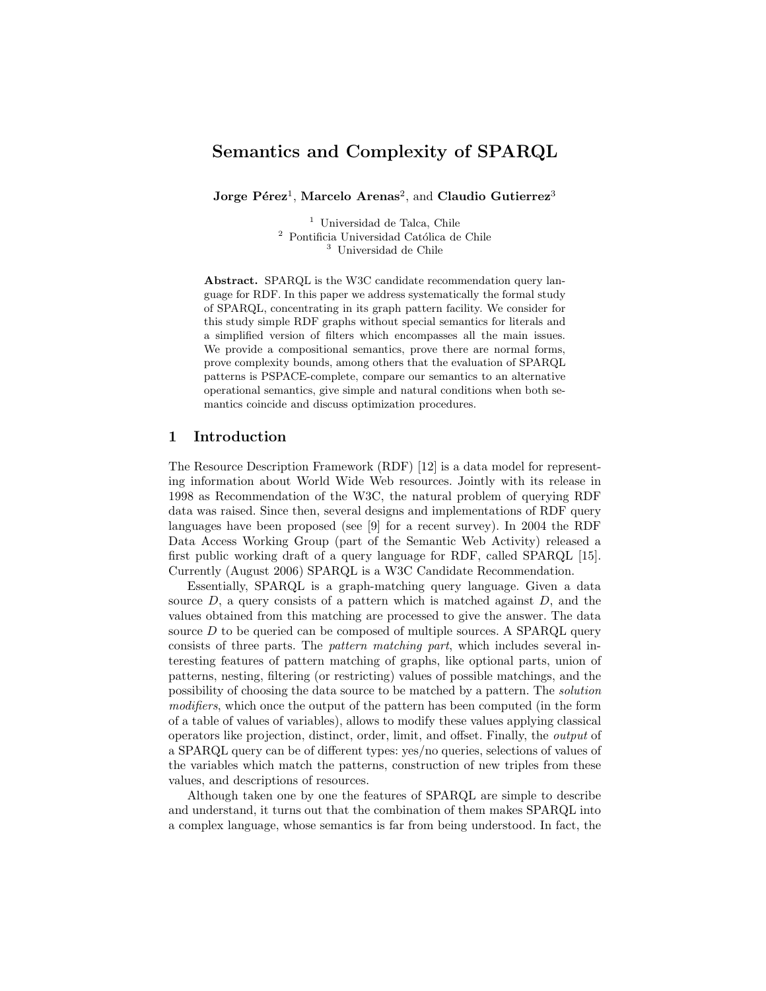# Semantics and Complexity of SPARQL

 $\rm{Jorge\ P\acute{e}rea^1, Marcelo\ Arenas^2, and Claudio\ Gutierrez^3}$ 

<sup>1</sup> Universidad de Talca, Chile <sup>2</sup> Pontificia Universidad Católica de Chile <sup>3</sup> Universidad de Chile

Abstract. SPARQL is the W3C candidate recommendation query language for RDF. In this paper we address systematically the formal study of SPARQL, concentrating in its graph pattern facility. We consider for this study simple RDF graphs without special semantics for literals and a simplified version of filters which encompasses all the main issues. We provide a compositional semantics, prove there are normal forms, prove complexity bounds, among others that the evaluation of SPARQL patterns is PSPACE-complete, compare our semantics to an alternative operational semantics, give simple and natural conditions when both semantics coincide and discuss optimization procedures.

## 1 Introduction

The Resource Description Framework (RDF) [12] is a data model for representing information about World Wide Web resources. Jointly with its release in 1998 as Recommendation of the W3C, the natural problem of querying RDF data was raised. Since then, several designs and implementations of RDF query languages have been proposed (see [9] for a recent survey). In 2004 the RDF Data Access Working Group (part of the Semantic Web Activity) released a first public working draft of a query language for RDF, called SPARQL [15]. Currently (August 2006) SPARQL is a W3C Candidate Recommendation.

Essentially, SPARQL is a graph-matching query language. Given a data source  $D$ , a query consists of a pattern which is matched against  $D$ , and the values obtained from this matching are processed to give the answer. The data source  $D$  to be queried can be composed of multiple sources. A SPARQL query consists of three parts. The pattern matching part, which includes several interesting features of pattern matching of graphs, like optional parts, union of patterns, nesting, filtering (or restricting) values of possible matchings, and the possibility of choosing the data source to be matched by a pattern. The solution modifiers, which once the output of the pattern has been computed (in the form of a table of values of variables), allows to modify these values applying classical operators like projection, distinct, order, limit, and offset. Finally, the output of a SPARQL query can be of different types: yes/no queries, selections of values of the variables which match the patterns, construction of new triples from these values, and descriptions of resources.

Although taken one by one the features of SPARQL are simple to describe and understand, it turns out that the combination of them makes SPARQL into a complex language, whose semantics is far from being understood. In fact, the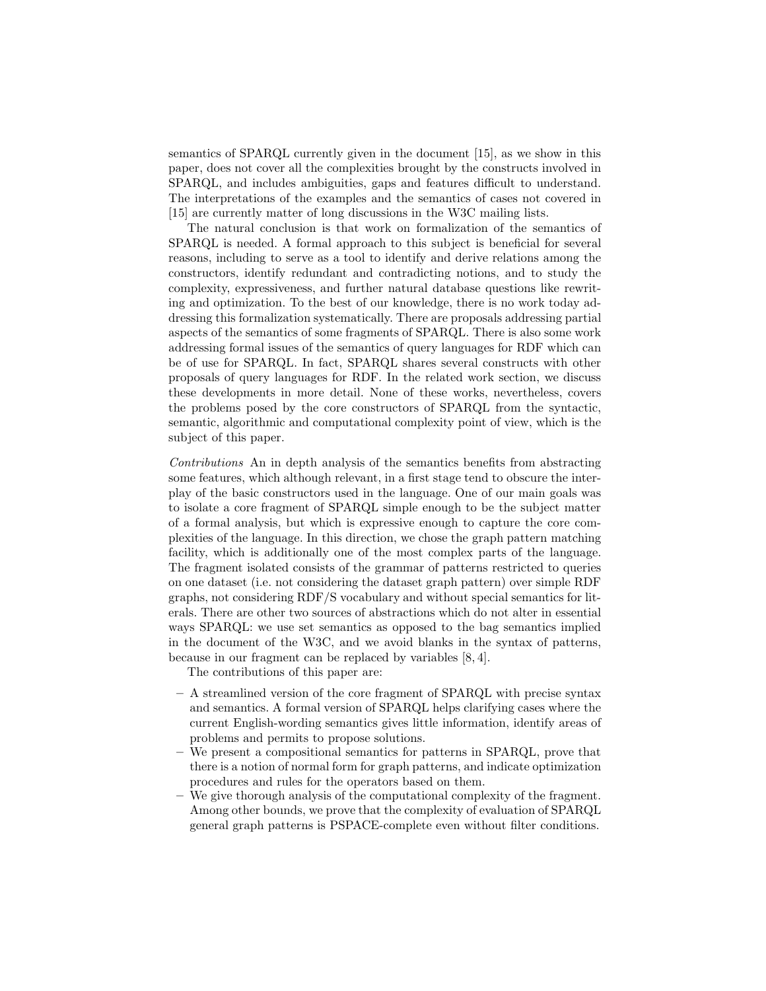semantics of SPARQL currently given in the document [15], as we show in this paper, does not cover all the complexities brought by the constructs involved in SPARQL, and includes ambiguities, gaps and features difficult to understand. The interpretations of the examples and the semantics of cases not covered in [15] are currently matter of long discussions in the W3C mailing lists.

The natural conclusion is that work on formalization of the semantics of SPARQL is needed. A formal approach to this subject is beneficial for several reasons, including to serve as a tool to identify and derive relations among the constructors, identify redundant and contradicting notions, and to study the complexity, expressiveness, and further natural database questions like rewriting and optimization. To the best of our knowledge, there is no work today addressing this formalization systematically. There are proposals addressing partial aspects of the semantics of some fragments of SPARQL. There is also some work addressing formal issues of the semantics of query languages for RDF which can be of use for SPARQL. In fact, SPARQL shares several constructs with other proposals of query languages for RDF. In the related work section, we discuss these developments in more detail. None of these works, nevertheless, covers the problems posed by the core constructors of SPARQL from the syntactic, semantic, algorithmic and computational complexity point of view, which is the subject of this paper.

Contributions An in depth analysis of the semantics benefits from abstracting some features, which although relevant, in a first stage tend to obscure the interplay of the basic constructors used in the language. One of our main goals was to isolate a core fragment of SPARQL simple enough to be the subject matter of a formal analysis, but which is expressive enough to capture the core complexities of the language. In this direction, we chose the graph pattern matching facility, which is additionally one of the most complex parts of the language. The fragment isolated consists of the grammar of patterns restricted to queries on one dataset (i.e. not considering the dataset graph pattern) over simple RDF graphs, not considering RDF/S vocabulary and without special semantics for literals. There are other two sources of abstractions which do not alter in essential ways SPARQL: we use set semantics as opposed to the bag semantics implied in the document of the W3C, and we avoid blanks in the syntax of patterns, because in our fragment can be replaced by variables [8, 4].

The contributions of this paper are:

- A streamlined version of the core fragment of SPARQL with precise syntax and semantics. A formal version of SPARQL helps clarifying cases where the current English-wording semantics gives little information, identify areas of problems and permits to propose solutions.
- We present a compositional semantics for patterns in SPARQL, prove that there is a notion of normal form for graph patterns, and indicate optimization procedures and rules for the operators based on them.
- We give thorough analysis of the computational complexity of the fragment. Among other bounds, we prove that the complexity of evaluation of SPARQL general graph patterns is PSPACE-complete even without filter conditions.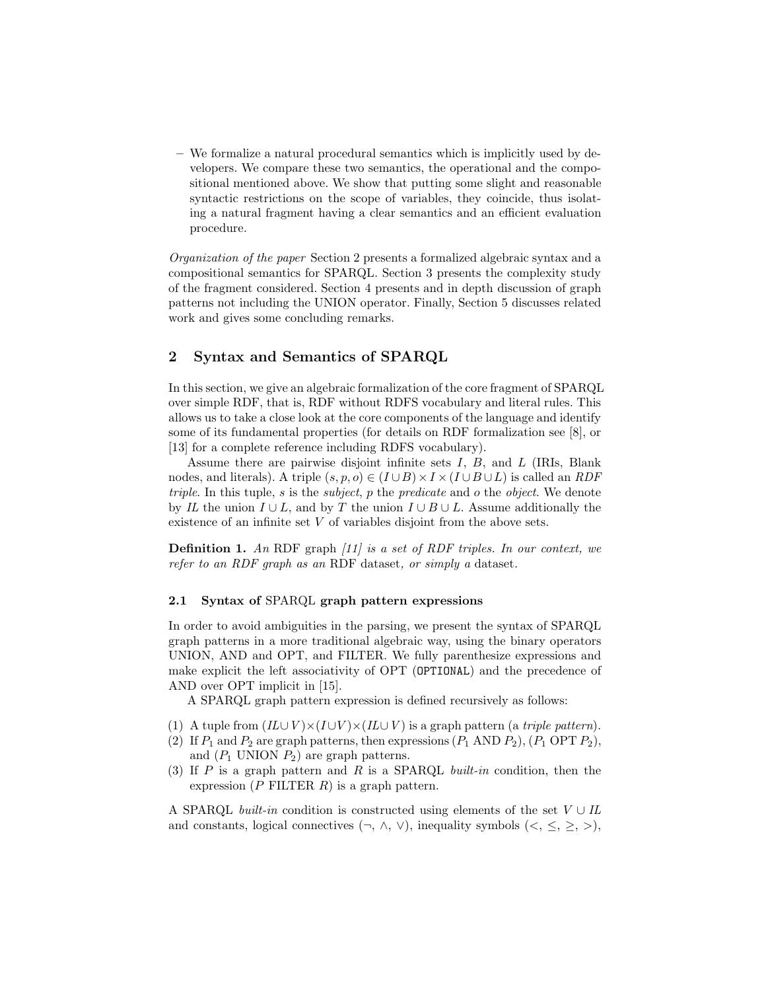– We formalize a natural procedural semantics which is implicitly used by developers. We compare these two semantics, the operational and the compositional mentioned above. We show that putting some slight and reasonable syntactic restrictions on the scope of variables, they coincide, thus isolating a natural fragment having a clear semantics and an efficient evaluation procedure.

Organization of the paper Section 2 presents a formalized algebraic syntax and a compositional semantics for SPARQL. Section 3 presents the complexity study of the fragment considered. Section 4 presents and in depth discussion of graph patterns not including the UNION operator. Finally, Section 5 discusses related work and gives some concluding remarks.

## 2 Syntax and Semantics of SPARQL

In this section, we give an algebraic formalization of the core fragment of SPARQL over simple RDF, that is, RDF without RDFS vocabulary and literal rules. This allows us to take a close look at the core components of the language and identify some of its fundamental properties (for details on RDF formalization see [8], or [13] for a complete reference including RDFS vocabulary).

Assume there are pairwise disjoint infinite sets  $I, B$ , and  $L$  (IRIs, Blank nodes, and literals). A triple  $(s, p, o) \in (I \cup B) \times I \times (I \cup B \cup L)$  is called an *RDF* triple. In this tuple, s is the subject, p the predicate and o the object. We denote by IL the union  $I \cup L$ , and by T the union  $I \cup B \cup L$ . Assume additionally the existence of an infinite set  $V$  of variables disjoint from the above sets.

Definition 1. An RDF graph [11] is a set of RDF triples. In our context, we refer to an RDF graph as an RDF dataset, or simply a dataset.

### 2.1 Syntax of SPARQL graph pattern expressions

In order to avoid ambiguities in the parsing, we present the syntax of SPARQL graph patterns in a more traditional algebraic way, using the binary operators UNION, AND and OPT, and FILTER. We fully parenthesize expressions and make explicit the left associativity of OPT (OPTIONAL) and the precedence of AND over OPT implicit in [15].

A SPARQL graph pattern expression is defined recursively as follows:

- (1) A tuple from  $(IL\cup V)\times (I\cup V)\times (IL\cup V)$  is a graph pattern (a *triple pattern*).
- (2) If  $P_1$  and  $P_2$  are graph patterns, then expressions  $(P_1 \text{ AND } P_2)$ ,  $(P_1 \text{ OPT } P_2)$ , and  $(P_1$  UNION  $P_2$ ) are graph patterns.
- (3) If  $P$  is a graph pattern and  $R$  is a SPARQL built-in condition, then the expression  $(P$  FILTER  $R)$  is a graph pattern.

A SPARQL *built-in* condition is constructed using elements of the set  $V \cup IL$ and constants, logical connectives  $(\neg, \land, \lor)$ , inequality symbols  $(\leq, \leq, \geq)$ ,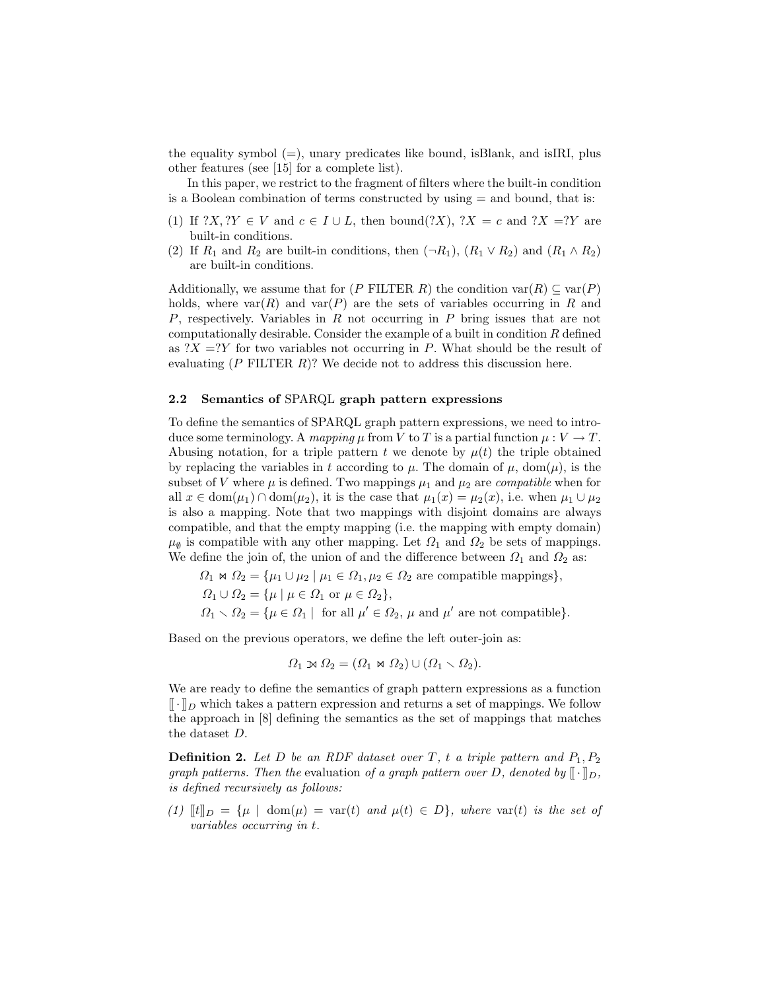the equality symbol  $(=)$ , unary predicates like bound, isBlank, and isIRI, plus other features (see [15] for a complete list).

In this paper, we restrict to the fragment of filters where the built-in condition is a Boolean combination of terms constructed by using = and bound, that is:

- (1) If  $?X, ?Y \in V$  and  $c \in I \cup L$ , then bound $(?X), ?X = c$  and  $?X = ?Y$  are built-in conditions.
- (2) If  $R_1$  and  $R_2$  are built-in conditions, then  $(\neg R_1)$ ,  $(R_1 \vee R_2)$  and  $(R_1 \wedge R_2)$ are built-in conditions.

Additionally, we assume that for (P FILTER R) the condition  $\text{var}(R) \subseteq \text{var}(P)$ holds, where  $var(R)$  and  $var(P)$  are the sets of variables occurring in R and P, respectively. Variables in R not occurring in P bring issues that are not computationally desirable. Consider the example of a built in condition R defined as  $?X = ?Y$  for two variables not occurring in P. What should be the result of evaluating  $(P$  FILTER  $R$ )? We decide not to address this discussion here.

#### 2.2 Semantics of SPARQL graph pattern expressions

To define the semantics of SPARQL graph pattern expressions, we need to introduce some terminology. A mapping  $\mu$  from V to T is a partial function  $\mu: V \to T$ . Abusing notation, for a triple pattern t we denote by  $\mu(t)$  the triple obtained by replacing the variables in t according to  $\mu$ . The domain of  $\mu$ , dom( $\mu$ ), is the subset of V where  $\mu$  is defined. Two mappings  $\mu_1$  and  $\mu_2$  are *compatible* when for all  $x \in \text{dom}(\mu_1) \cap \text{dom}(\mu_2)$ , it is the case that  $\mu_1(x) = \mu_2(x)$ , i.e. when  $\mu_1 \cup \mu_2$ is also a mapping. Note that two mappings with disjoint domains are always compatible, and that the empty mapping (i.e. the mapping with empty domain)  $\mu_{\emptyset}$  is compatible with any other mapping. Let  $\Omega_1$  and  $\Omega_2$  be sets of mappings. We define the join of, the union of and the difference between  $\Omega_1$  and  $\Omega_2$  as:

 $\Omega_1 \Join \Omega_2 = {\mu_1 \cup \mu_2 \mid \mu_1 \in \Omega_1, \mu_2 \in \Omega_2 \text{ are compatible mappings}}$ 

- $\Omega_1 \cup \Omega_2 = {\mu \mid \mu \in \Omega_1 \text{ or } \mu \in \Omega_2},$
- $\Omega_1 \setminus \Omega_2 = {\mu \in \Omega_1 \mid \text{ for all } \mu' \in \Omega_2, \mu \text{ and } \mu' \text{ are not compatible}}.$

Based on the previous operators, we define the left outer-join as:

$$
\Omega_1 \rtimes \Omega_2 = (\Omega_1 \rtimes \Omega_2) \cup (\Omega_1 \backslash \Omega_2).
$$

We are ready to define the semantics of graph pattern expressions as a function  $\lbrack \cdot \rbrack_D$  which takes a pattern expression and returns a set of mappings. We follow the approach in [8] defining the semantics as the set of mappings that matches the dataset D.

**Definition 2.** Let D be an RDF dataset over T, t a triple pattern and  $P_1, P_2$ graph patterns. Then the evaluation of a graph pattern over D, denoted by  $[\![\cdot]\!]_D$ , is defined recursively as follows:

(1)  $[[t]]_D = {\mu \mid \text{dom}(\mu) = \text{var}(t) \text{ and } \mu(t) \in D}$ , where  $\text{var}(t)$  is the set of variables occurring in t.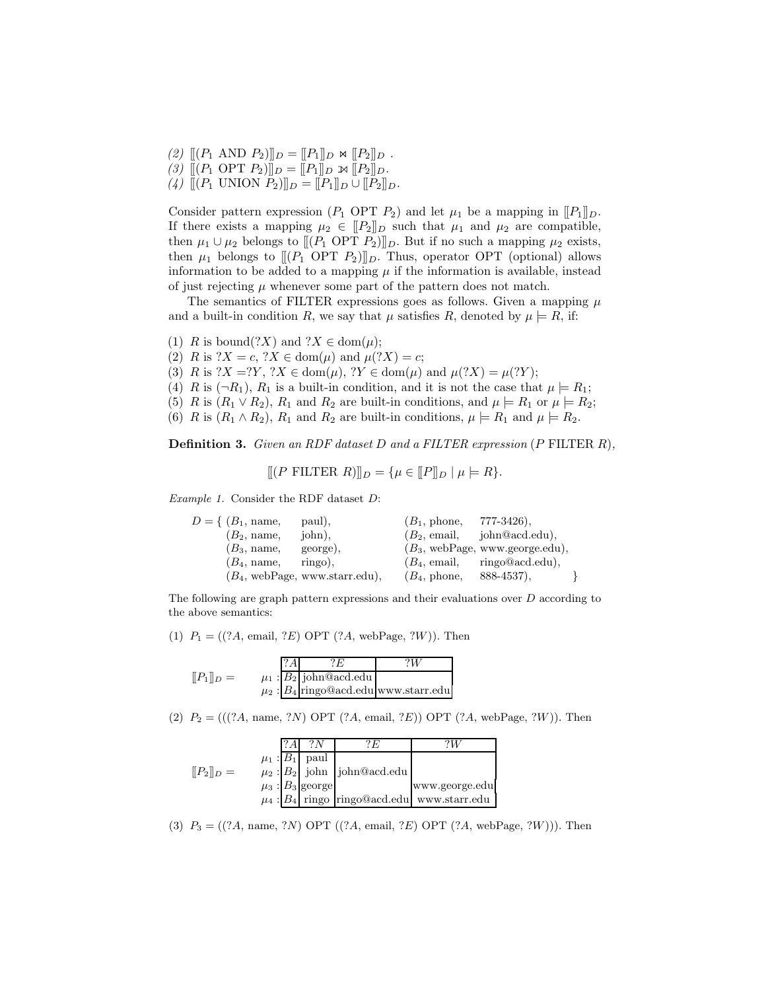- (2)  $[(P_1 \text{ AND } P_2)]_D = [[P_1]]_D \bowtie [[P_2]]_D$ .
- (3)  $[[ (P_1 \text{ OPT } P_2)]]_D = [[P_1]]_D \rtimes [[P_2]]_D.$
- (4)  $[[ (P_1 \text{ UNION } P_2)]]_D = [[P_1]]_D \cup [[P_2]]_D.$

Consider pattern expression ( $P_1$  OPT  $P_2$ ) and let  $\mu_1$  be a mapping in  $[[P_1]]_D$ . If there exists a mapping  $\mu_2 \in [P_2]_D$  such that  $\mu_1$  and  $\mu_2$  are compatible, then  $\mu_1 \cup \mu_2$  belongs to  $[[ (P_1 \text{ OPT } P_2)]]_D$ . But if no such a mapping  $\mu_2$  exists, then  $\mu_1$  belongs to  $[(P_1 \text{ OPT } P_2)]]_D$ . Thus, operator OPT (optional) allows information to be added to a mapping  $\mu$  if the information is available, instead of just rejecting  $\mu$  whenever some part of the pattern does not match.

The semantics of FILTER expressions goes as follows. Given a mapping  $\mu$ and a built-in condition R, we say that  $\mu$  satisfies R, denoted by  $\mu \models R$ , if:

- (1) R is bound(?X) and  $?X \in \text{dom}(\mu);$
- (2) R is  $?X = c, ?X \in \text{dom}(\mu)$  and  $\mu(?X) = c;$
- (3) R is  $?X = ?Y$ ,  $?X \in \text{dom}(\mu)$ ,  $?Y \in \text{dom}(\mu)$  and  $\mu(?X) = \mu(?Y)$ ;
- (4) R is  $(\neg R_1)$ ,  $R_1$  is a built-in condition, and it is not the case that  $\mu \models R_1$ ;
- (5) R is  $(R_1 \vee R_2)$ ,  $R_1$  and  $R_2$  are built-in conditions, and  $\mu \models R_1$  or  $\mu \models R_2$ ;
- (6) R is  $(R_1 \wedge R_2)$ ,  $R_1$  and  $R_2$  are built-in conditions,  $\mu \models R_1$  and  $\mu \models R_2$ .

**Definition 3.** Given an RDF dataset D and a FILTER expression (P FILTER R),

 $[[(P \text{ FILTER } R)]]_D = {\mu \in [P]_D | \mu \models R}.$ 

Example 1. Consider the RDF dataset D:

| $D = \{ (B_1, name,$                           | paul),     | $(B_1, \mathrm{phone},$ | 777-3426),                                       |  |
|------------------------------------------------|------------|-------------------------|--------------------------------------------------|--|
| $(B_2, name,$                                  | john),     | $(B_2, \text{ email},$  | john@acd.edu),                                   |  |
| $(B_3, name,$                                  | george),   |                         | $(B_3, \text{ webPage}, \text{www.george.edu}),$ |  |
| $(B_4, name,$                                  | $ringo$ ), | $(B_4, \text{ email},$  | ringo@acd.edu),                                  |  |
| $(B_4, \text{webPage}, \text{www.starr.edu}),$ |            | $(B_4, \mathrm{phone},$ | $888 - 4537$ .                                   |  |

The following are graph pattern expressions and their evaluations over D according to the above semantics:

(1)  $P_1 = ((?A, \text{ email}, ?E) \text{ OPT } (?A, \text{webPage}, ?W))$ . Then

|                   |  | 7 F.                         | $^{\prime\prime}$                           |
|-------------------|--|------------------------------|---------------------------------------------|
| $[ P_1 ]  _{D} =$ |  | $\mu_1$ : $B_2$ john@acd.edu |                                             |
|                   |  |                              | $\mu_2$ : $B_4$ ringo@acd.edu www.starr.edu |

(2)  $P_2 = (((?A, name, ?N) OPT (?A, email, ?E)) OPT (?A, webPage, ?W)).$  Then

|               |  |                        | ' F                               | ٠IJ                                               |
|---------------|--|------------------------|-----------------------------------|---------------------------------------------------|
|               |  | $\mu_1: B_1$ paul      |                                   |                                                   |
| $[[P_2]]_D =$ |  |                        | $\mu_2$ : $B_2$ john john@acd.edu |                                                   |
|               |  | $\mu_3$ : $B_3$ george |                                   | www.george.edu                                    |
|               |  |                        |                                   | $\mu_4$ : $B_4$ ringo ringo@acd.edu www.starr.edu |

(3)  $P_3 = ((?A, name, ?N) OPT ((?A, email, ?E) OPT (?A, webPage, ?W))).$  Then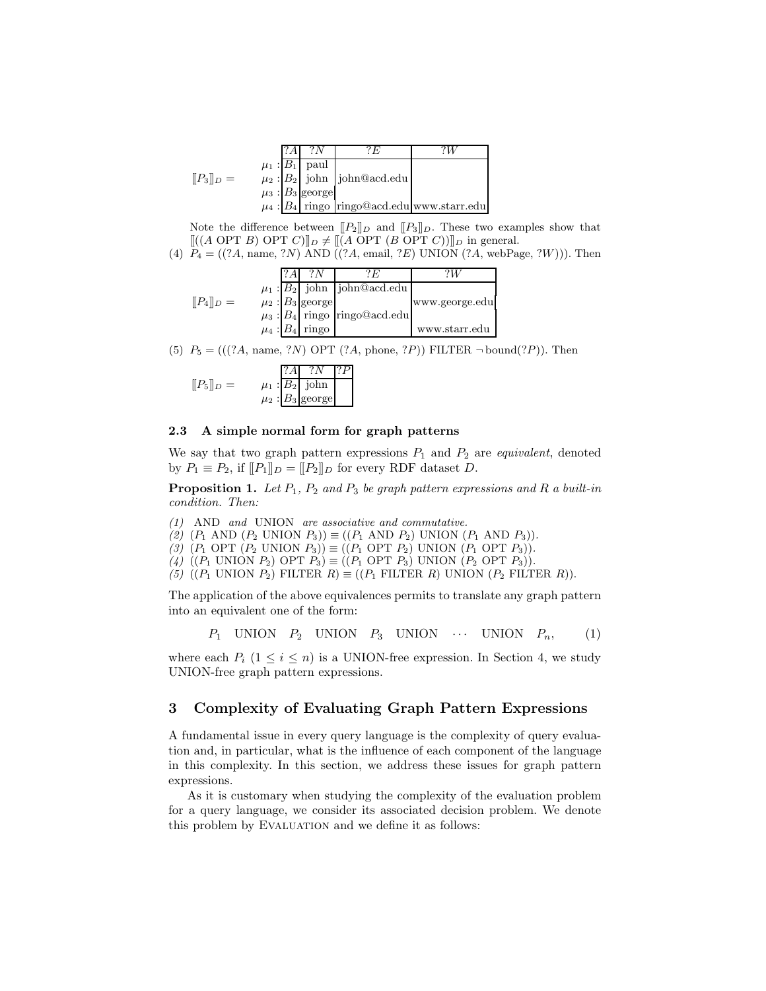|                               |  | ?N                     | ? F.                                              |  |
|-------------------------------|--|------------------------|---------------------------------------------------|--|
|                               |  | $\mu_1$ : $B_1$ paul   |                                                   |  |
| $[$ [P <sub>3</sub> ][ $_D =$ |  |                        | $\mu_2$ : $B_2$ john john@acd.edu                 |  |
|                               |  | $\mu_3$ : $B_3$ george |                                                   |  |
|                               |  |                        | $\mu_4$ : $B_4$ ringo ringo@acd.edu www.starr.edu |  |

Note the difference between  $[[P_2]]_D$  and  $[[P_3]]_D$ . These two examples show that  $[[(A \text{ OPT } B) \text{ OPT } C)]|_D \neq [[(A \text{ OPT } (B \text{ OPT } C))]_D$  in general.

(4)  $P_4 = ((?A, name, ?N) AND ((?A, email, ?E) UNION (?A, webPage, ?W))).$  Then

|                      |  |                        | , F                                 |                |
|----------------------|--|------------------------|-------------------------------------|----------------|
|                      |  |                        | $\mu_1$ : $B_2$ john john@acd.edu   |                |
| $[$ [ $P_4$ ] $_D =$ |  | $\mu_2$ : $B_3$ george |                                     | www.george.edu |
|                      |  |                        | $\mu_3$ : $B_4$ ringo ringo@acd.edu |                |
|                      |  | $\mu_4$ : $B_4$ ringo  |                                     | www.starr.edu  |

(5)  $P_5 = (((?A, name, ?N) OPT (?A, phone, ?P)) FILTER \neg bound(?P)).$  Then

|               | 1? AT | ?N                     | 12P |
|---------------|-------|------------------------|-----|
| $[[P_5]]_D =$ |       | $\mu_1$ : $B_2$ john   |     |
|               |       | $\mu_2$ : $B_3$ george |     |

### 2.3 A simple normal form for graph patterns

We say that two graph pattern expressions  $P_1$  and  $P_2$  are *equivalent*, denoted by  $P_1 \equiv P_2$ , if  $[[P_1]]_D = [[P_2]]_D$  for every RDF dataset D.

**Proposition 1.** Let  $P_1$ ,  $P_2$  and  $P_3$  be graph pattern expressions and R a built-in condition. Then:

(1) AND and UNION are associative and commutative.

(2)  $(P_1 \text{ AND } (P_2 \text{ UNION } P_3)) \equiv ((P_1 \text{ AND } P_2) \text{ UNION } (P_1 \text{ AND } P_3)).$ 

(3)  $(P_1 \text{ OPT } (P_2 \text{ UNION } P_3)) \equiv ((P_1 \text{ OPT } P_2) \text{ UNION } (P_1 \text{ OPT } P_3)).$ 

(4) ((P<sub>1</sub> UNION P<sub>2</sub>) OPT  $P_3$ )  $\equiv$  ((P<sub>1</sub> OPT P<sub>3</sub>) UNION (P<sub>2</sub> OPT P<sub>3</sub>)).

(5) ( $(P_1$  UNION  $P_2$ ) FILTER  $R$ )  $\equiv$  ( $(P_1$  FILTER  $R$ ) UNION  $(P_2$  FILTER  $R$ )).

The application of the above equivalences permits to translate any graph pattern into an equivalent one of the form:

 $P_1$  UNION  $P_2$  UNION  $P_3$  UNION  $\cdots$  UNION  $P_n$ , (1)

where each  $P_i$  ( $1 \leq i \leq n$ ) is a UNION-free expression. In Section 4, we study UNION-free graph pattern expressions.

## 3 Complexity of Evaluating Graph Pattern Expressions

A fundamental issue in every query language is the complexity of query evaluation and, in particular, what is the influence of each component of the language in this complexity. In this section, we address these issues for graph pattern expressions.

As it is customary when studying the complexity of the evaluation problem for a query language, we consider its associated decision problem. We denote this problem by EVALUATION and we define it as follows: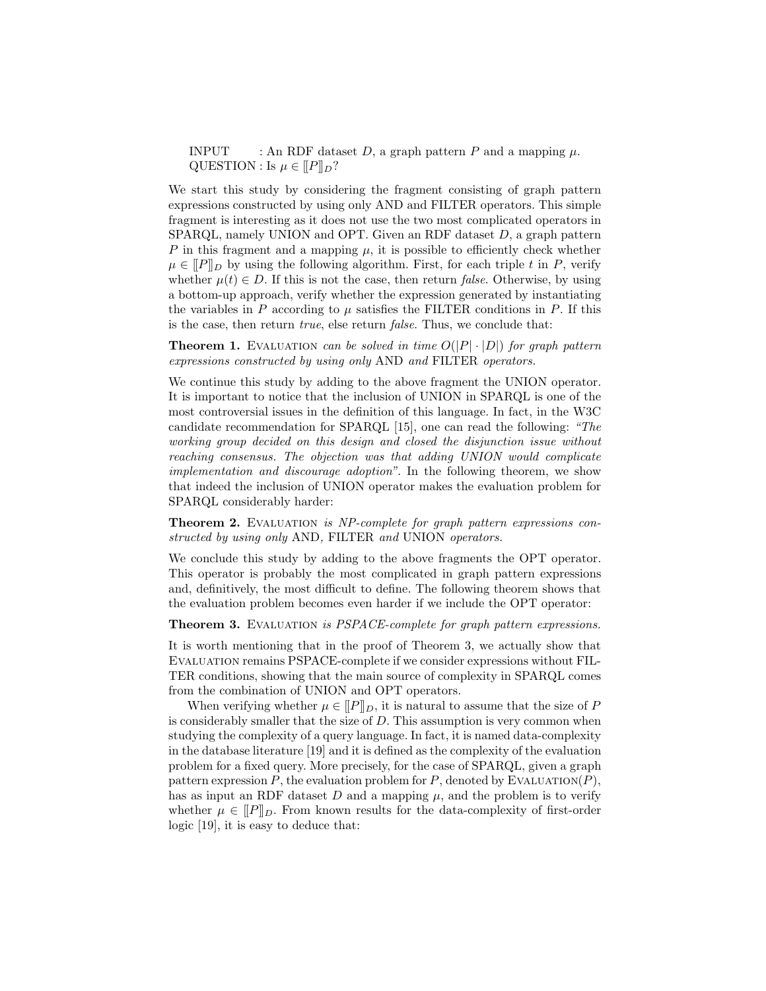INPUT : An RDF dataset D, a graph pattern P and a mapping  $\mu$ . QUESTION : Is  $\mu \in [P]_D$ ?

We start this study by considering the fragment consisting of graph pattern expressions constructed by using only AND and FILTER operators. This simple fragment is interesting as it does not use the two most complicated operators in SPARQL, namely UNION and OPT. Given an RDF dataset D, a graph pattern P in this fragment and a mapping  $\mu$ , it is possible to efficiently check whether  $\mu \in [P]_D$  by using the following algorithm. First, for each triple t in P, verify whether  $\mu(t) \in D$ . If this is not the case, then return *false*. Otherwise, by using a bottom-up approach, verify whether the expression generated by instantiating the variables in P according to  $\mu$  satisfies the FILTER conditions in P. If this is the case, then return  $true$ , else return  $false$ . Thus, we conclude that:

**Theorem 1.** EVALUATION can be solved in time  $O(|P| \cdot |D|)$  for graph pattern expressions constructed by using only AND and FILTER operators.

We continue this study by adding to the above fragment the UNION operator. It is important to notice that the inclusion of UNION in SPARQL is one of the most controversial issues in the definition of this language. In fact, in the W3C candidate recommendation for SPARQL [15], one can read the following: "The working group decided on this design and closed the disjunction issue without reaching consensus. The objection was that adding UNION would complicate implementation and discourage adoption". In the following theorem, we show that indeed the inclusion of UNION operator makes the evaluation problem for SPARQL considerably harder:

Theorem 2. EVALUATION is NP-complete for graph pattern expressions constructed by using only AND, FILTER and UNION operators.

We conclude this study by adding to the above fragments the OPT operator. This operator is probably the most complicated in graph pattern expressions and, definitively, the most difficult to define. The following theorem shows that the evaluation problem becomes even harder if we include the OPT operator:

Theorem 3. Evaluation is PSPACE-complete for graph pattern expressions.

It is worth mentioning that in the proof of Theorem 3, we actually show that Evaluation remains PSPACE-complete if we consider expressions without FIL-TER conditions, showing that the main source of complexity in SPARQL comes from the combination of UNION and OPT operators.

When verifying whether  $\mu \in [P]_D$ , it is natural to assume that the size of P is considerably smaller that the size of  $D$ . This assumption is very common when studying the complexity of a query language. In fact, it is named data-complexity in the database literature [19] and it is defined as the complexity of the evaluation problem for a fixed query. More precisely, for the case of SPARQL, given a graph pattern expression  $P$ , the evaluation problem for  $P$ , denoted by EVALUATION( $P$ ), has as input an RDF dataset D and a mapping  $\mu$ , and the problem is to verify whether  $\mu \in [P]_D$ . From known results for the data-complexity of first-order logic [19], it is easy to deduce that: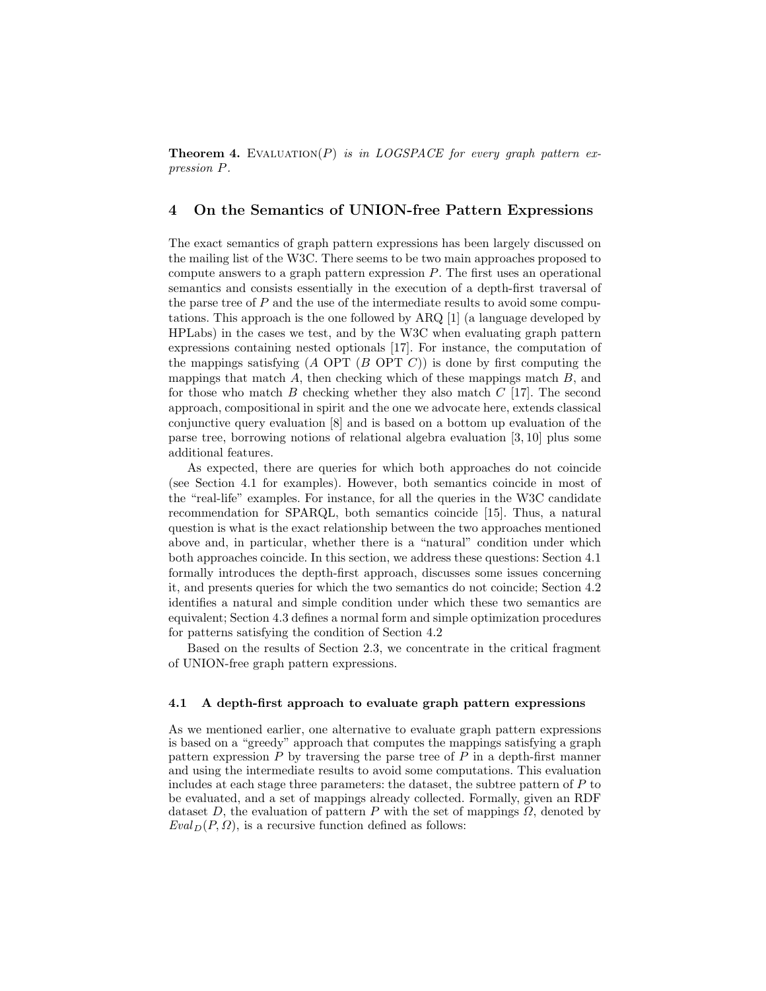**Theorem 4.** EVALUATION(P) is in LOGSPACE for every graph pattern expression P.

## 4 On the Semantics of UNION-free Pattern Expressions

The exact semantics of graph pattern expressions has been largely discussed on the mailing list of the W3C. There seems to be two main approaches proposed to compute answers to a graph pattern expression P. The first uses an operational semantics and consists essentially in the execution of a depth-first traversal of the parse tree of  $P$  and the use of the intermediate results to avoid some computations. This approach is the one followed by ARQ [1] (a language developed by HPLabs) in the cases we test, and by the W3C when evaluating graph pattern expressions containing nested optionals [17]. For instance, the computation of the mappings satisfying  $(A \text{ OPT } (B \text{ OPT } C))$  is done by first computing the mappings that match  $A$ , then checking which of these mappings match  $B$ , and for those who match  $B$  checking whether they also match  $C$  [17]. The second approach, compositional in spirit and the one we advocate here, extends classical conjunctive query evaluation [8] and is based on a bottom up evaluation of the parse tree, borrowing notions of relational algebra evaluation [3, 10] plus some additional features.

As expected, there are queries for which both approaches do not coincide (see Section 4.1 for examples). However, both semantics coincide in most of the "real-life" examples. For instance, for all the queries in the W3C candidate recommendation for SPARQL, both semantics coincide [15]. Thus, a natural question is what is the exact relationship between the two approaches mentioned above and, in particular, whether there is a "natural" condition under which both approaches coincide. In this section, we address these questions: Section 4.1 formally introduces the depth-first approach, discusses some issues concerning it, and presents queries for which the two semantics do not coincide; Section 4.2 identifies a natural and simple condition under which these two semantics are equivalent; Section 4.3 defines a normal form and simple optimization procedures for patterns satisfying the condition of Section 4.2

Based on the results of Section 2.3, we concentrate in the critical fragment of UNION-free graph pattern expressions.

#### 4.1 A depth-first approach to evaluate graph pattern expressions

As we mentioned earlier, one alternative to evaluate graph pattern expressions is based on a "greedy" approach that computes the mappings satisfying a graph pattern expression  $P$  by traversing the parse tree of  $P$  in a depth-first manner and using the intermediate results to avoid some computations. This evaluation includes at each stage three parameters: the dataset, the subtree pattern of  $P$  to be evaluated, and a set of mappings already collected. Formally, given an RDF dataset D, the evaluation of pattern P with the set of mappings  $\Omega$ , denoted by  $Eval_D(P, \Omega)$ , is a recursive function defined as follows: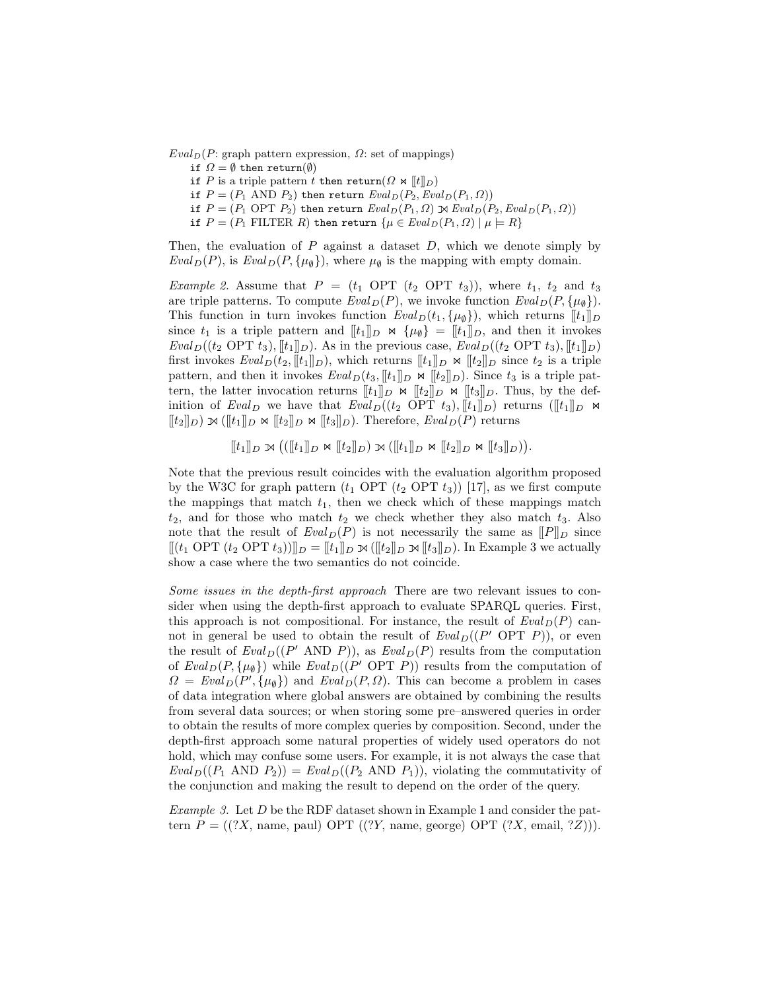$Eval_D(P: graph pattern expression, \Omega: set of mappings)$ 

- if  $\Omega = \emptyset$  then return( $\emptyset$ )
- if P is a triple pattern t then return( $\Omega \bowtie [t]_D$ )
- if  $P = (P_1 \text{ AND } P_2)$  then return  $Eval_D(P_2,Eval_D(P_1, \Omega))$
- if  $P = (P_1 \text{ OPT } P_2)$  then return  $Eval_D(P_1, \Omega) \bowtie eval_D(P_2,Eval_D(P_1, \Omega))$

if  $P = (P_1$  FILTER  $R)$  then return  $\{\mu \in \mathit{Eval}_D(P_1, \Omega) \mid \mu \models R\}$ 

Then, the evaluation of  $P$  against a dataset  $D$ , which we denote simply by  $Eval_D(P)$ , is  $Eval_D(P, {\mu_{\emptyset}})$ , where  $\mu_{\emptyset}$  is the mapping with empty domain.

*Example 2.* Assume that  $P = (t_1 \text{ OPT } (t_2 \text{ OPT } t_3))$ , where  $t_1, t_2$  and  $t_3$ are triple patterns. To compute  $Eval_D(P)$ , we invoke function  $Eval_D(P, \{\mu_{\emptyset}\}).$ This function in turn invokes function  $Eval_D(t_1, \{\mu_{\emptyset}\})$ , which returns  $[[t_1]]_D$ since  $t_1$  is a triple pattern and  $[[t_1]]_D \Join {\mu_{\emptyset}} = [[t_1]]_D$ , and then it invokes  $Eval_D((t_2 \text{ OPT } t_3), [t_1], L)$ . As in the previous case,  $Eval_D((t_2 \text{ OPT } t_3), [t_1], L)$ first invokes  $Eval_D(t_2, [t_1]]_D)$ , which returns  $[[t_1]]_D \Join [[t_2]]_D$  since  $t_2$  is a triple pattern, and then it invokes  $Eval_D(t_3, [t_1]]_D \times [t_2]]_D$ ). Since  $t_3$  is a triple pattern, the latter invocation returns  $[[t_1]]_D \Join [[t_2]]_D \Join [[t_3]]_D$ . Thus, by the definition of Eval<sub>D</sub> we have that  $Eval_D((t_2 \text{ OPT } t_3), [[t_1]]_D)$  returns  $([[t_1]]_D \bowtie$  $[[t_2]]_D$ )  $\rtimes ([[t_1]]_D \Join [[t_2]]_D \Join [[t_3]]_D)$ . Therefore,  $Eval_D(P)$  returns

 $[[t_1]]_D \propto (([[t_1]]_D \bowtie [[t_2]]_D) \bowtie ([[t_1]]_D \bowtie [[t_2]]_D \bowtie [[t_3]]_D)).$ 

Note that the previous result coincides with the evaluation algorithm proposed by the W3C for graph pattern  $(t_1$  OPT  $(t_2$  OPT  $t_3)$  [17], as we first compute the mappings that match  $t_1$ , then we check which of these mappings match  $t_2$ , and for those who match  $t_2$  we check whether they also match  $t_3$ . Also note that the result of  $Eval_D(P)$  is not necessarily the same as  $[|P|]_D$  since  $||(t_1 \text{ OPT } (t_2 \text{ OPT } t_3)||_D = ||t_1||_D \otimes (||t_2||_D \otimes ||t_3||_D).$  In Example 3 we actually show a case where the two semantics do not coincide.

Some issues in the depth-first approach There are two relevant issues to consider when using the depth-first approach to evaluate SPARQL queries. First, this approach is not compositional. For instance, the result of  $Eval_D(P)$  cannot in general be used to obtain the result of  $Eval_D((P' \text{ OPT } P))$ , or even the result of  $Eval_D((P' \text{ AND } P))$ , as  $Eval_D(P)$  results from the computation of  $Eval_D(P, \{\mu_{\emptyset}\})$  while  $Eval_D((P' \text{ OPT } P))$  results from the computation of  $\Omega = \text{Eval}_D(P', \{\mu_{\emptyset}\})$  and  $\text{Eval}_D(P, \Omega)$ . This can become a problem in cases of data integration where global answers are obtained by combining the results from several data sources; or when storing some pre–answered queries in order to obtain the results of more complex queries by composition. Second, under the depth-first approach some natural properties of widely used operators do not hold, which may confuse some users. For example, it is not always the case that  $Eval_D((P_1 \text{ AND } P_2)) = eval_D((P_2 \text{ AND } P_1))$ , violating the commutativity of the conjunction and making the result to depend on the order of the query.

Example 3. Let D be the RDF dataset shown in Example 1 and consider the pattern  $P = ((?X, name, paul) OPT ((?Y, name, george) OPT (?X, email, ?Z))).$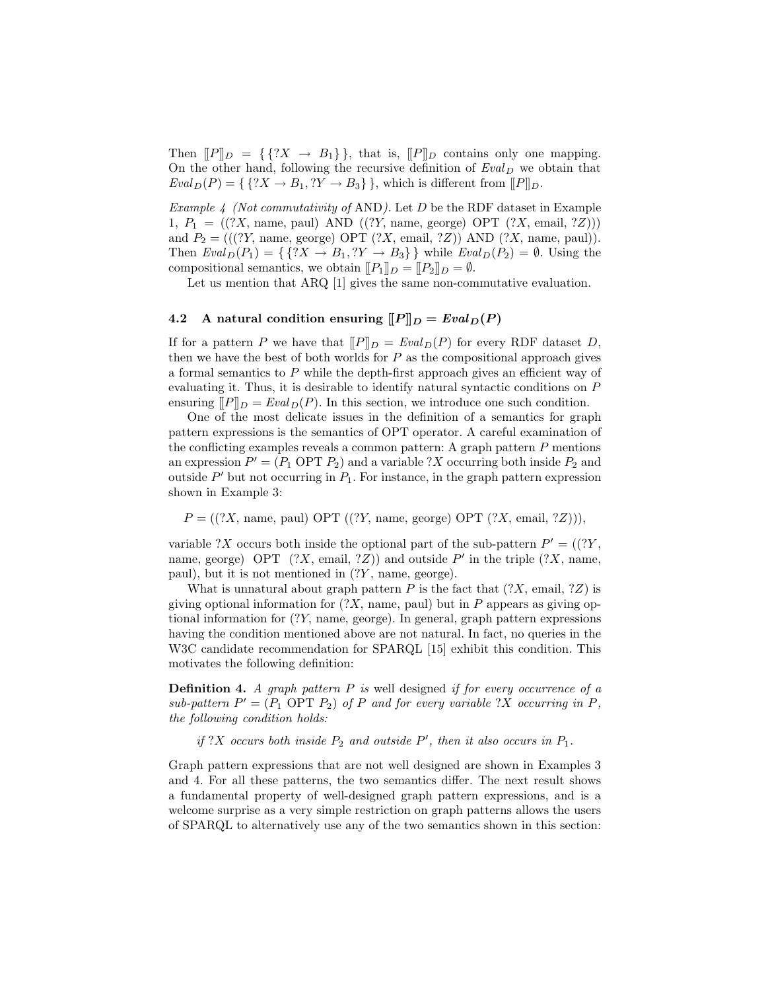Then  $[PP]_D = {\{?X \rightarrow B_1\}}, \text{ that is, } [PP]_D \text{ contains only one mapping.}$ On the other hand, following the recursive definition of  $Eval_D$  we obtain that  $Eval_D(P) = \{ \{?X \rightarrow B_1, ?Y \rightarrow B_3\} \}$ , which is different from  $[P]_D$ .

*Example 4 (Not commutativity of AND).* Let  $D$  be the RDF dataset in Example 1,  $P_1 = ((?X, name, paul) AND ((?Y, name, george) OPT (?X, email, ?Z)))$ and  $P_2 = (((?Y, name, george) OPT (?X, email, ?Z)) AND (?X, name, paul)).$ Then  $Eval_D(P_1) = \{ \{?X \rightarrow B_1, ?Y \rightarrow B_3\} \}$  while  $Eval_D(P_2) = \emptyset$ . Using the compositional semantics, we obtain  $[[P_1]]_D = [[P_2]]_D = \emptyset$ .

Let us mention that ARQ [1] gives the same non-commutative evaluation.

# 4.2 A natural condition ensuring  $[[P]]_D = \text{Eval}_D(P)$

If for a pattern P we have that  $[|P|]_D = \text{Eval}_D(P)$  for every RDF dataset D, then we have the best of both worlds for  $P$  as the compositional approach gives a formal semantics to  $P$  while the depth-first approach gives an efficient way of evaluating it. Thus, it is desirable to identify natural syntactic conditions on P ensuring  $[|P|]_D = \text{Eval}_D(P)$ . In this section, we introduce one such condition.

One of the most delicate issues in the definition of a semantics for graph pattern expressions is the semantics of OPT operator. A careful examination of the conflicting examples reveals a common pattern: A graph pattern  $P$  mentions an expression  $P' = (P_1 \text{ OPT } P_2)$  and a variable ?X occurring both inside  $P_2$  and outside  $P'$  but not occurring in  $P_1$ . For instance, in the graph pattern expression shown in Example 3:

 $P = ((?X, name, paul) OPT ((?Y, name, george) OPT (?X, email, ?Z))).$ 

variable ?X occurs both inside the optional part of the sub-pattern  $P' = ((?Y, ...)$ name, george) OPT  $(?X, \text{ email}, ?Z)$  and outside P' in the triple  $(?X, \text{name},$ paul), but it is not mentioned in  $(?Y$ , name, george).

What is unnatural about graph pattern P is the fact that  $(?X, \text{ email}, ?Z)$  is giving optional information for  $(?X,$  name, paul) but in P appears as giving optional information for (?Y, name, george). In general, graph pattern expressions having the condition mentioned above are not natural. In fact, no queries in the W3C candidate recommendation for SPARQL [15] exhibit this condition. This motivates the following definition:

**Definition 4.** A graph pattern  $P$  is well designed if for every occurrence of a sub-pattern  $P' = (P_1 \text{ OPT } P_2)$  of P and for every variable ?X occurring in P, the following condition holds:

if ?X occurs both inside  $P_2$  and outside  $P'$ , then it also occurs in  $P_1$ .

Graph pattern expressions that are not well designed are shown in Examples 3 and 4. For all these patterns, the two semantics differ. The next result shows a fundamental property of well-designed graph pattern expressions, and is a welcome surprise as a very simple restriction on graph patterns allows the users of SPARQL to alternatively use any of the two semantics shown in this section: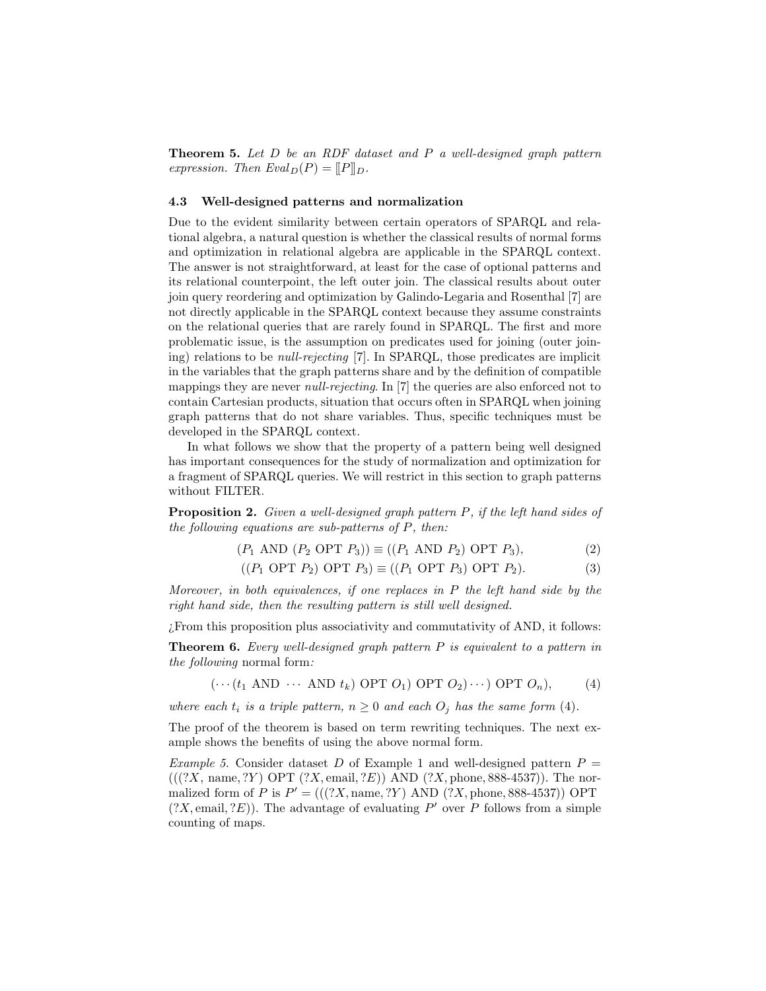**Theorem 5.** Let  $D$  be an RDF dataset and  $P$  a well-designed graph pattern expression. Then  $Eval_D(P) = ||P||_D$ .

#### 4.3 Well-designed patterns and normalization

Due to the evident similarity between certain operators of SPARQL and relational algebra, a natural question is whether the classical results of normal forms and optimization in relational algebra are applicable in the SPARQL context. The answer is not straightforward, at least for the case of optional patterns and its relational counterpoint, the left outer join. The classical results about outer join query reordering and optimization by Galindo-Legaria and Rosenthal [7] are not directly applicable in the SPARQL context because they assume constraints on the relational queries that are rarely found in SPARQL. The first and more problematic issue, is the assumption on predicates used for joining (outer joining) relations to be null-rejecting [7]. In SPARQL, those predicates are implicit in the variables that the graph patterns share and by the definition of compatible mappings they are never *null-rejecting*. In [7] the queries are also enforced not to contain Cartesian products, situation that occurs often in SPARQL when joining graph patterns that do not share variables. Thus, specific techniques must be developed in the SPARQL context.

In what follows we show that the property of a pattern being well designed has important consequences for the study of normalization and optimization for a fragment of SPARQL queries. We will restrict in this section to graph patterns without FILTER.

Proposition 2. Given a well-designed graph pattern P, if the left hand sides of the following equations are sub-patterns of  $P$ , then:

$$
(P_1 \text{ AND } (P_2 \text{ OPT } P_3)) \equiv ((P_1 \text{ AND } P_2) \text{ OPT } P_3), \tag{2}
$$

$$
((P_1 \text{ OPT } P_2) \text{ OPT } P_3) \equiv ((P_1 \text{ OPT } P_3) \text{ OPT } P_2).
$$
 (3)

Moreover, in both equivalences, if one replaces in P the left hand side by the right hand side, then the resulting pattern is still well designed.

¿From this proposition plus associativity and commutativity of AND, it follows:

**Theorem 6.** Every well-designed graph pattern  $P$  is equivalent to a pattern in the following normal form:

 $(\cdots (t_1 \text{ AND } \cdots \text{ AND } t_k) \text{ OPT } O_1) \text{ OPT } O_2) \cdots) \text{ OPT } O_n$ , (4)

where each  $t_i$  is a triple pattern,  $n \geq 0$  and each  $O_i$  has the same form (4).

The proof of the theorem is based on term rewriting techniques. The next example shows the benefits of using the above normal form.

Example 5. Consider dataset D of Example 1 and well-designed pattern  $P =$  $(((?X, name, ?Y) OPT (?X, email, ?E)) AND (?X, phone, 888-4537)).$  The normalized form of P is  $P' = (((?X, \text{name}, ?Y) \text{ AND } (?X, \text{phone}, 888-4537)) \text{ OPT}$  $(?X, \text{email}, ?E)$ ). The advantage of evaluating  $P'$  over P follows from a simple counting of maps.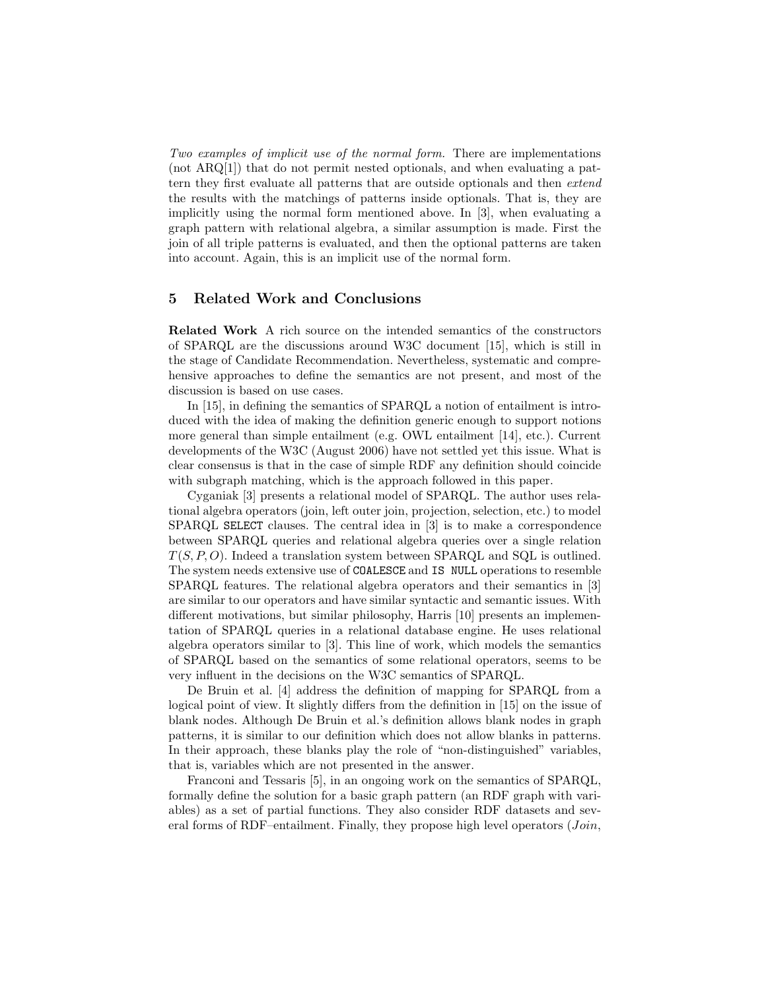Two examples of implicit use of the normal form. There are implementations (not ARQ[1]) that do not permit nested optionals, and when evaluating a pattern they first evaluate all patterns that are outside optionals and then extend the results with the matchings of patterns inside optionals. That is, they are implicitly using the normal form mentioned above. In [3], when evaluating a graph pattern with relational algebra, a similar assumption is made. First the join of all triple patterns is evaluated, and then the optional patterns are taken into account. Again, this is an implicit use of the normal form.

## 5 Related Work and Conclusions

Related Work A rich source on the intended semantics of the constructors of SPARQL are the discussions around W3C document [15], which is still in the stage of Candidate Recommendation. Nevertheless, systematic and comprehensive approaches to define the semantics are not present, and most of the discussion is based on use cases.

In [15], in defining the semantics of SPARQL a notion of entailment is introduced with the idea of making the definition generic enough to support notions more general than simple entailment (e.g. OWL entailment [14], etc.). Current developments of the W3C (August 2006) have not settled yet this issue. What is clear consensus is that in the case of simple RDF any definition should coincide with subgraph matching, which is the approach followed in this paper.

Cyganiak [3] presents a relational model of SPARQL. The author uses relational algebra operators (join, left outer join, projection, selection, etc.) to model SPARQL SELECT clauses. The central idea in [3] is to make a correspondence between SPARQL queries and relational algebra queries over a single relation  $T(S, P, O)$ . Indeed a translation system between SPARQL and SQL is outlined. The system needs extensive use of COALESCE and IS NULL operations to resemble SPARQL features. The relational algebra operators and their semantics in [3] are similar to our operators and have similar syntactic and semantic issues. With different motivations, but similar philosophy, Harris [10] presents an implementation of SPARQL queries in a relational database engine. He uses relational algebra operators similar to [3]. This line of work, which models the semantics of SPARQL based on the semantics of some relational operators, seems to be very influent in the decisions on the W3C semantics of SPARQL.

De Bruin et al. [4] address the definition of mapping for SPARQL from a logical point of view. It slightly differs from the definition in [15] on the issue of blank nodes. Although De Bruin et al.'s definition allows blank nodes in graph patterns, it is similar to our definition which does not allow blanks in patterns. In their approach, these blanks play the role of "non-distinguished" variables, that is, variables which are not presented in the answer.

Franconi and Tessaris [5], in an ongoing work on the semantics of SPARQL, formally define the solution for a basic graph pattern (an RDF graph with variables) as a set of partial functions. They also consider RDF datasets and several forms of RDF–entailment. Finally, they propose high level operators  $(Join,$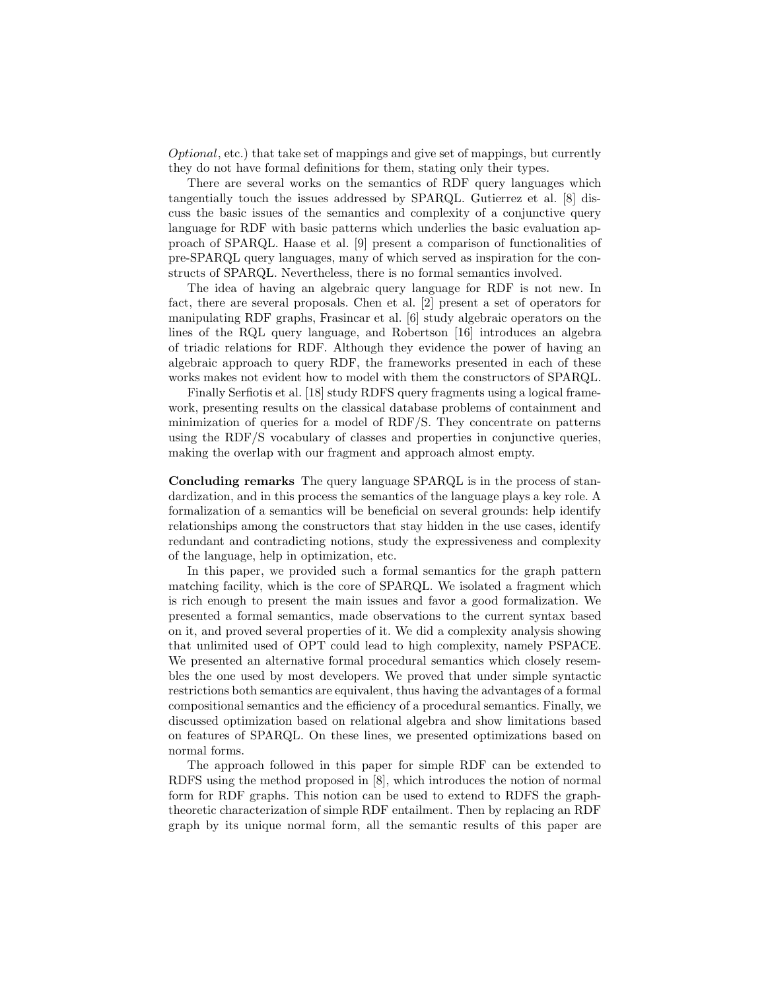Optional, etc.) that take set of mappings and give set of mappings, but currently they do not have formal definitions for them, stating only their types.

There are several works on the semantics of RDF query languages which tangentially touch the issues addressed by SPARQL. Gutierrez et al. [8] discuss the basic issues of the semantics and complexity of a conjunctive query language for RDF with basic patterns which underlies the basic evaluation approach of SPARQL. Haase et al. [9] present a comparison of functionalities of pre-SPARQL query languages, many of which served as inspiration for the constructs of SPARQL. Nevertheless, there is no formal semantics involved.

The idea of having an algebraic query language for RDF is not new. In fact, there are several proposals. Chen et al. [2] present a set of operators for manipulating RDF graphs, Frasincar et al. [6] study algebraic operators on the lines of the RQL query language, and Robertson [16] introduces an algebra of triadic relations for RDF. Although they evidence the power of having an algebraic approach to query RDF, the frameworks presented in each of these works makes not evident how to model with them the constructors of SPARQL.

Finally Serfiotis et al. [18] study RDFS query fragments using a logical framework, presenting results on the classical database problems of containment and minimization of queries for a model of RDF/S. They concentrate on patterns using the RDF/S vocabulary of classes and properties in conjunctive queries, making the overlap with our fragment and approach almost empty.

Concluding remarks The query language SPARQL is in the process of standardization, and in this process the semantics of the language plays a key role. A formalization of a semantics will be beneficial on several grounds: help identify relationships among the constructors that stay hidden in the use cases, identify redundant and contradicting notions, study the expressiveness and complexity of the language, help in optimization, etc.

In this paper, we provided such a formal semantics for the graph pattern matching facility, which is the core of SPARQL. We isolated a fragment which is rich enough to present the main issues and favor a good formalization. We presented a formal semantics, made observations to the current syntax based on it, and proved several properties of it. We did a complexity analysis showing that unlimited used of OPT could lead to high complexity, namely PSPACE. We presented an alternative formal procedural semantics which closely resembles the one used by most developers. We proved that under simple syntactic restrictions both semantics are equivalent, thus having the advantages of a formal compositional semantics and the efficiency of a procedural semantics. Finally, we discussed optimization based on relational algebra and show limitations based on features of SPARQL. On these lines, we presented optimizations based on normal forms.

The approach followed in this paper for simple RDF can be extended to RDFS using the method proposed in [8], which introduces the notion of normal form for RDF graphs. This notion can be used to extend to RDFS the graphtheoretic characterization of simple RDF entailment. Then by replacing an RDF graph by its unique normal form, all the semantic results of this paper are